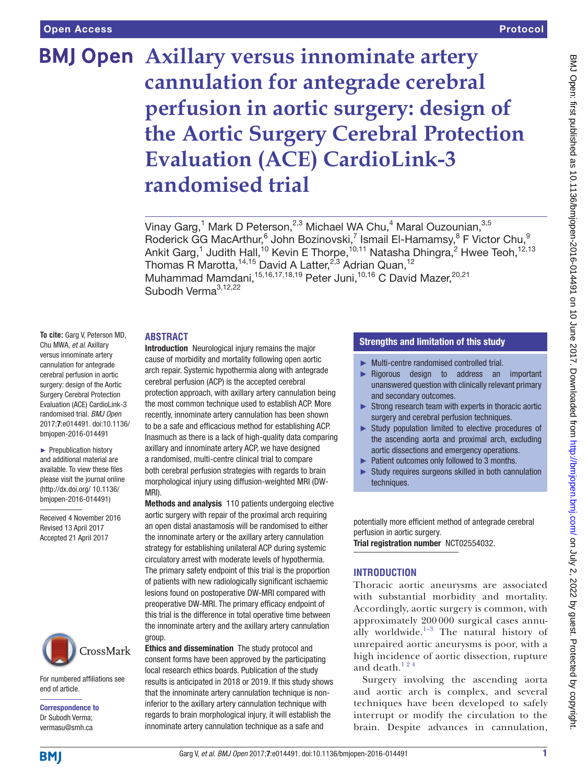# **BMJ Open Axillary versus innominate artery cannulation for antegrade cerebral perfusion in aortic surgery: design of the Aortic Surgery Cerebral Protection Evaluation (ACE) CardioLink-3 randomised trial**

Vinay Garg,<sup>1</sup> Mark D Peterson,<sup>2,3</sup> Michael WA Chu,<sup>4</sup> Maral Ouzounian,<sup>3,5</sup> Roderick GG MacArthur,  $6$  John Bozinovski,  $7$  Ismail El-Hamamsy,  $8$  F Victor Chu,  $9$ Ankit Garg,<sup>1</sup> Judith Hall,<sup>10</sup> Kevin E Thorpe,<sup>10,11</sup> Natasha Dhingra,<sup>2</sup> Hwee Teoh,<sup>12,13</sup> Thomas R Marotta, $14,15$  David A Latter, $2.3$  Adrian Quan, $12$ Muhammad Mamdani,<sup>15,16,17,18,19</sup> Peter Juni,<sup>10,16</sup> C David Mazer,<sup>20,21</sup> Subodh Verma<sup>3,12,22</sup>

#### **ABSTRACT**

**To cite:** Garg V, Peterson MD, Chu MWA, *et al*. Axillary versus innominate artery cannulation for antegrade cerebral perfusion in aortic surgery: design of the Aortic Surgery Cerebral Protection Evaluation (ACE) CardioLink-3 randomised trial. *BMJ Open* 2017;7:e014491. doi:10.1136/ bmjopen-2016-014491

► Prepublication history and additional material are available. To view these files please visit the journal online [\(http://dx.doi.org/ 10.1136/](http://dx.doi.org/ 10.1136/bmjopen-2016-014491) [bmjopen-2016-014491](http://dx.doi.org/ 10.1136/bmjopen-2016-014491))

Received 4 November 2016 Revised 13 April 2017 Accepted 21 April 2017



For numbered affiliations see end of article.

Correspondence to Dr Subodh Verma; vermasu@smh.ca

Introduction Neurological injury remains the major cause of morbidity and mortality following open aortic arch repair. Systemic hypothermia along with antegrade cerebral perfusion (ACP) is the accepted cerebral protection approach, with axillary artery cannulation being the most common technique used to establish ACP. More recently, innominate artery cannulation has been shown to be a safe and efficacious method for establishing ACP. Inasmuch as there is a lack of high-quality data comparing axillary and innominate artery ACP, we have designed a randomised, multi-centre clinical trial to compare both cerebral perfusion strategies with regards to brain morphological injury using diffusion-weighted MRI (DW-MRI).

Methods and analysis 110 patients undergoing elective aortic surgery with repair of the proximal arch requiring an open distal anastamosis will be randomised to either the innominate artery or the axillary artery cannulation strategy for establishing unilateral ACP during systemic circulatory arrest with moderate levels of hypothermia. The primary safety endpoint of this trial is the proportion of patients with new radiologically significant ischaemic lesions found on postoperative DW-MRI compared with preoperative DW-MRI. The primary efficacy endpoint of this trial is the difference in total operative time between the innominate artery and the axillary artery cannulation group.

Ethics and dissemination The study protocol and consent forms have been approved by the participating local research ethics boards. Publication of the study results is anticipated in 2018 or 2019. If this study shows that the innominate artery cannulation technique is noninferior to the axillary artery cannulation technique with regards to brain morphological injury, it will establish the innominate artery cannulation technique as a safe and

#### Strengths and limitation of this study

- ► Multi-centre randomised controlled trial.
- ► Rigorous design to address an important unanswered question with clinically relevant primary and secondary outcomes.
- ► Strong research team with experts in thoracic aortic surgery and cerebral perfusion techniques.
- ► Study population limited to elective procedures of the ascending aorta and proximal arch, excluding aortic dissections and emergency operations.
- ► Patient outcomes only followed to 3 months.
- ► Study requires surgeons skilled in both cannulation techniques.

potentially more efficient method of antegrade cerebral perfusion in aortic surgery. Trial registration number NCT02554032.

#### **INTRODUCTION**

Thoracic aortic aneurysms are associated with substantial morbidity and mortality. Accordingly, aortic surgery is common, with approximately 200 000 surgical cases annually worldwide. $1-3$  The natural history of unrepaired aortic aneurysms is poor, with a high incidence of aortic dissection, rupture and death. $124$ 

Surgery involving the ascending aorta and aortic arch is complex, and several techniques have been developed to safely interrupt or modify the circulation to the brain. Despite advances in cannulation,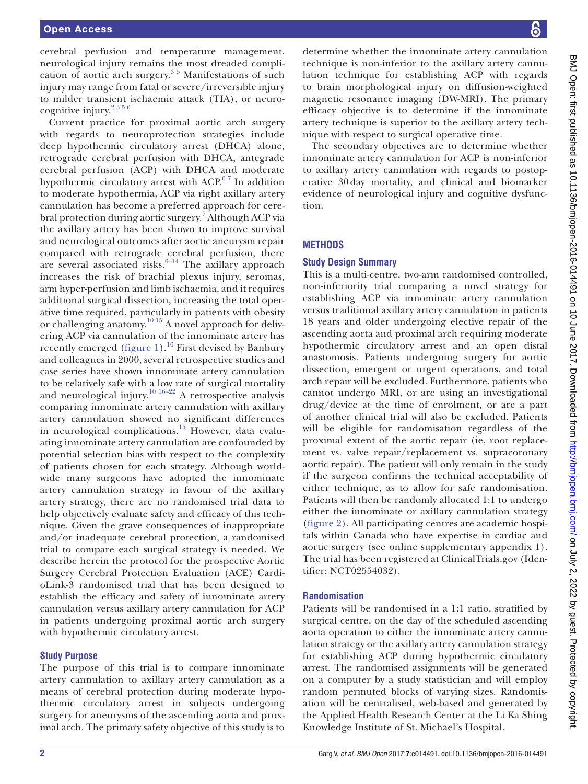cerebral perfusion and temperature management, neurological injury remains the most dreaded complication of aortic arch surgery. $35$  Manifestations of such injury may range from fatal or severe/irreversible injury to milder transient ischaemic attack (TIA), or neurocognitive injury.[2 3 5 6](#page-8-2)

Current practice for proximal aortic arch surgery with regards to neuroprotection strategies include deep hypothermic circulatory arrest (DHCA) alone, retrograde cerebral perfusion with DHCA, antegrade cerebral perfusion (ACP) with DHCA and moderate hypothermic circulatory arrest with  $ACP<sup>67</sup>$  In addition to moderate hypothermia, ACP via right axillary artery cannulation has become a preferred approach for cere-bral protection during aortic surgery.<sup>[7](#page-8-4)</sup> Although ACP via the axillary artery has been shown to improve survival and neurological outcomes after aortic aneurysm repair compared with retrograde cerebral perfusion, there are several associated risks. $6-14$  The axillary approach increases the risk of brachial plexus injury, seromas, arm hyper-perfusion and limb ischaemia, and it requires additional surgical dissection, increasing the total operative time required, particularly in patients with obesity or challenging anatomy.[10 15](#page-8-5) A novel approach for delivering ACP via cannulation of the innominate artery has recently emerged [\(figure](#page-2-0) 1).<sup>16</sup> First devised by Banbury and colleagues in 2000, several retrospective studies and case series have shown innominate artery cannulation to be relatively safe with a low rate of surgical mortality and neurological injury.<sup>[10 16–22](#page-8-5)</sup> A retrospective analysis comparing innominate artery cannulation with axillary artery cannulation showed no significant differences in neurological complications.<sup>[15](#page-8-7)</sup> However, data evaluating innominate artery cannulation are confounded by potential selection bias with respect to the complexity of patients chosen for each strategy. Although worldwide many surgeons have adopted the innominate artery cannulation strategy in favour of the axillary artery strategy, there are no randomised trial data to help objectively evaluate safety and efficacy of this technique. Given the grave consequences of inappropriate and/or inadequate cerebral protection, a randomised trial to compare each surgical strategy is needed. We describe herein the protocol for the prospective Aortic Surgery Cerebral Protection Evaluation (ACE) CardioLink-3 randomised trial that has been designed to establish the efficacy and safety of innominate artery cannulation versus axillary artery cannulation for ACP in patients undergoing proximal aortic arch surgery with hypothermic circulatory arrest.

#### **Study Purpose**

The purpose of this trial is to compare innominate artery cannulation to axillary artery cannulation as a means of cerebral protection during moderate hypothermic circulatory arrest in subjects undergoing surgery for aneurysms of the ascending aorta and proximal arch. The primary safety objective of this study is to

determine whether the innominate artery cannulation technique is non-inferior to the axillary artery cannulation technique for establishing ACP with regards to brain morphological injury on diffusion-weighted magnetic resonance imaging (DW-MRI). The primary efficacy objective is to determine if the innominate artery technique is superior to the axillary artery technique with respect to surgical operative time.

The secondary objectives are to determine whether innominate artery cannulation for ACP is non-inferior to axillary artery cannulation with regards to postoperative 30 day mortality, and clinical and biomarker evidence of neurological injury and cognitive dysfunction.

#### **METHODS**

#### **Study Design Summary**

This is a multi-centre, two-arm randomised controlled, non-inferiority trial comparing a novel strategy for establishing ACP via innominate artery cannulation versus traditional axillary artery cannulation in patients 18 years and older undergoing elective repair of the ascending aorta and proximal arch requiring moderate hypothermic circulatory arrest and an open distal anastomosis. Patients undergoing surgery for aortic dissection, emergent or urgent operations, and total arch repair will be excluded. Furthermore, patients who cannot undergo MRI, or are using an investigational drug/device at the time of enrolment, or are a part of another clinical trial will also be excluded. Patients will be eligible for randomisation regardless of the proximal extent of the aortic repair (ie, root replacement vs. valve repair/replacement vs. supracoronary aortic repair). The patient will only remain in the study if the surgeon confirms the technical acceptability of either technique, as to allow for safe randomisation. Patients will then be randomly allocated 1:1 to undergo either the innominate or axillary cannulation strategy [\(figure](#page-3-0) 2). All participating centres are academic hospitals within Canada who have expertise in cardiac and aortic surgery (see online supplementary appendix 1). The trial has been registered at ClinicalTrials.gov (Identifier: NCT02554032).

#### **Randomisation**

Patients will be randomised in a 1:1 ratio, stratified by surgical centre, on the day of the scheduled ascending aorta operation to either the innominate artery cannulation strategy or the axillary artery cannulation strategy for establishing ACP during hypothermic circulatory arrest. The randomised assignments will be generated on a computer by a study statistician and will employ random permuted blocks of varying sizes. Randomisation will be centralised, web-based and generated by the Applied Health Research Center at the Li Ka Shing Knowledge Institute of St. Michael's Hospital.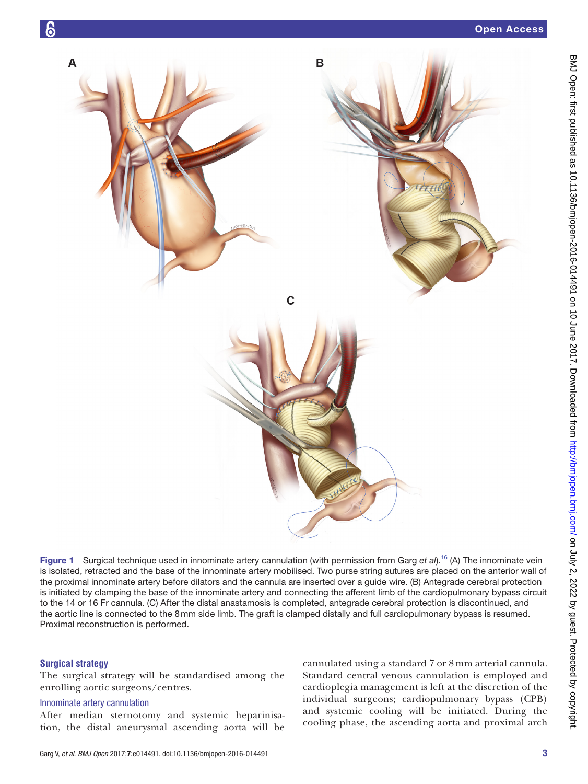

<span id="page-2-0"></span>Figure 1 Surgical technique used in innominate artery cannulation (with permission from Garg *et al*).<sup>[16](#page-8-6)</sup> (A) The innominate vein is isolated, retracted and the base of the innominate artery mobilised. Two purse string sutures are placed on the anterior wall of the proximal innominate artery before dilators and the cannula are inserted over a guide wire. (B) Antegrade cerebral protection is initiated by clamping the base of the innominate artery and connecting the afferent limb of the cardiopulmonary bypass circuit to the 14 or 16 Fr cannula. (C) After the distal anastamosis is completed, antegrade cerebral protection is discontinued, and the aortic line is connected to the 8mm side limb. The graft is clamped distally and full cardiopulmonary bypass is resumed. Proximal reconstruction is performed.

#### **Surgical strategy**

The surgical strategy will be standardised among the enrolling aortic surgeons/centres.

#### Innominate artery cannulation

After median sternotomy and systemic heparinisation, the distal aneurysmal ascending aorta will be

cannulated using a standard 7 or 8 mm arterial cannula. Standard central venous cannulation is employed and cardioplegia management is left at the discretion of the individual surgeons; cardiopulmonary bypass (CPB) and systemic cooling will be initiated. During the cooling phase, the ascending aorta and proximal arch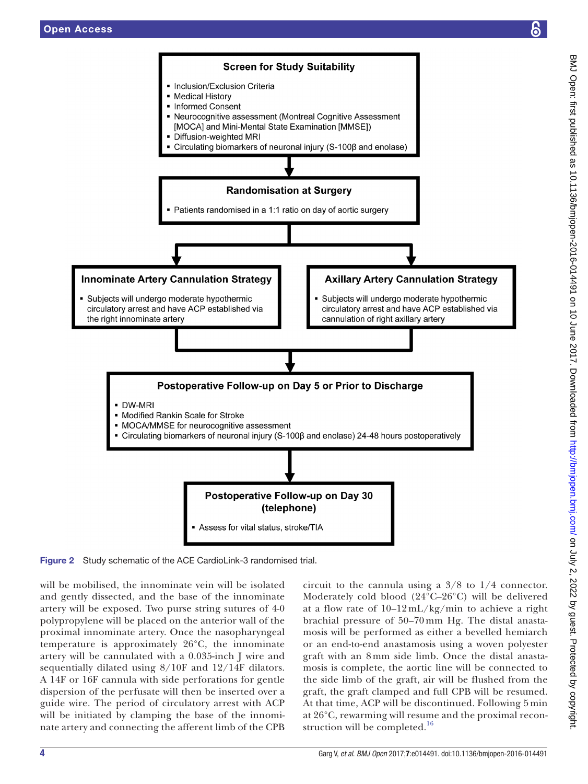$\blacksquare$ 

the right innominate artery

- DW-MRI



<span id="page-3-0"></span>Figure 2 Study schematic of the ACE CardioLink-3 randomised trial.

will be mobilised, the innominate vein will be isolated and gently dissected, and the base of the innominate artery will be exposed. Two purse string sutures of 4-0 polypropylene will be placed on the anterior wall of the proximal innominate artery. Once the nasopharyngeal temperature is approximately 26°C, the innominate artery will be cannulated with a 0.035-inch J wire and sequentially dilated using 8/10F and 12/14F dilators. A 14F or 16F cannula with side perforations for gentle dispersion of the perfusate will then be inserted over a guide wire. The period of circulatory arrest with ACP will be initiated by clamping the base of the innominate artery and connecting the afferent limb of the CPB

circuit to the cannula using a 3/8 to 1/4 connector. Moderately cold blood (24°C–26°C) will be delivered at a flow rate of  $10-12 \text{ mL/kg/min}$  to achieve a right brachial pressure of 50–70 mm Hg. The distal anastamosis will be performed as either a bevelled hemiarch or an end-to-end anastamosis using a woven polyester graft with an 8 mm side limb. Once the distal anastamosis is complete, the aortic line will be connected to the side limb of the graft, air will be flushed from the graft, the graft clamped and full CPB will be resumed. At that time, ACP will be discontinued. Following 5 min at 26°C, rewarming will resume and the proximal recon-struction will be completed.<sup>[16](#page-8-6)</sup>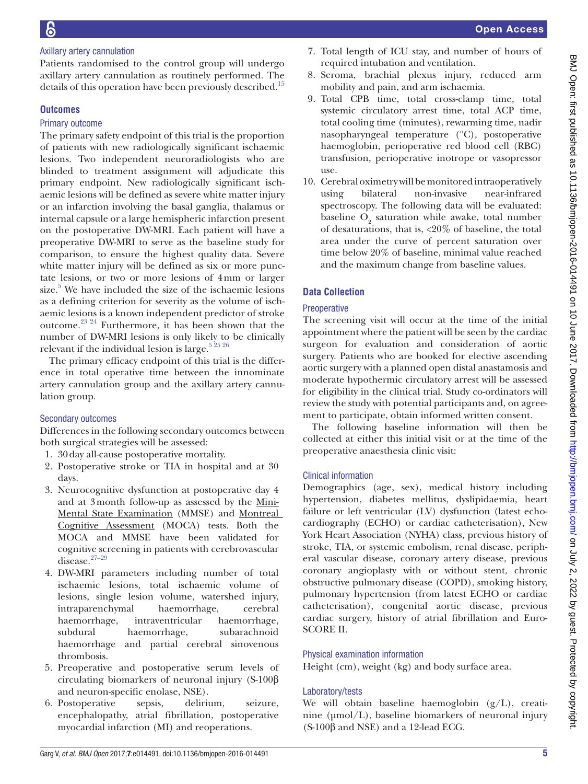# Axillary artery cannulation

Patients randomised to the control group will undergo axillary artery cannulation as routinely performed. The details of this operation have been previously described.<sup>15</sup>

# **Outcomes**

#### Primary outcome

The primary safety endpoint of this trial is the proportion of patients with new radiologically significant ischaemic lesions. Two independent neuroradiologists who are blinded to treatment assignment will adjudicate this primary endpoint. New radiologically significant ischaemic lesions will be defined as severe white matter injury or an infarction involving the basal ganglia, thalamus or internal capsule or a large hemispheric infarction present on the postoperative DW-MRI. Each patient will have a preoperative DW-MRI to serve as the baseline study for comparison, to ensure the highest quality data. Severe white matter injury will be defined as six or more punctate lesions, or two or more lesions of 4mm or larger size. $5$  We have included the size of the ischaemic lesions as a defining criterion for severity as the volume of ischaemic lesions is a known independent predictor of stroke outcome.[23 24](#page-8-9) Furthermore, it has been shown that the number of DW-MRI lesions is only likely to be clinically relevant if the individual lesion is large. $5^{25\,26}$ 

The primary efficacy endpoint of this trial is the difference in total operative time between the innominate artery cannulation group and the axillary artery cannulation group.

# Secondary outcomes

Differences in the following secondary outcomes between both surgical strategies will be assessed:

- 1. 30day all-cause postoperative mortality.
- 2. Postoperative stroke or TIA in hospital and at 30 days.
- 3. Neurocognitive dysfunction at postoperative day 4 and at 3month follow-up as assessed by the Mini-Mental State Examination (MMSE) and Montreal Cognitive Assessment (MOCA) tests. Both the MOCA and MMSE have been validated for cognitive screening in patients with cerebrovascular disease. $27-29$
- 4. DW-MRI parameters including number of total ischaemic lesions, total ischaemic volume of lesions, single lesion volume, watershed injury, intraparenchymal haemorrhage, cerebral haemorrhage, intraventricular haemorrhage, subdural haemorrhage, subarachnoid haemorrhage and partial cerebral sinovenous thrombosis.
- 5. Preoperative and postoperative serum levels of circulating biomarkers of neuronal injury (S-100β and neuron-specific enolase, NSE).
- 6. Postoperative sepsis, delirium, seizure, encephalopathy, atrial fibrillation, postoperative myocardial infarction (MI) and reoperations.
- 7. Total length of ICU stay, and number of hours of required intubation and ventilation.
- 8. Seroma, brachial plexus injury, reduced arm mobility and pain, and arm ischaemia.
- 9. Total CPB time, total cross-clamp time, total systemic circulatory arrest time, total ACP time, total cooling time (minutes), rewarming time, nadir nasopharyngeal temperature (°C), postoperative haemoglobin, perioperative red blood cell (RBC) transfusion, perioperative inotrope or vasopressor use.
- 10. Cerebral oximetry will be monitored intraoperatively using bilateral non-invasive near-infrared spectroscopy. The following data will be evaluated: baseline  $O_2$  saturation while awake, total number of desaturations, that is, <20% of baseline, the total area under the curve of percent saturation over time below 20% of baseline, minimal value reached and the maximum change from baseline values.

# **Data Collection**

# **Preoperative**

The screening visit will occur at the time of the initial appointment where the patient will be seen by the cardiac surgeon for evaluation and consideration of aortic surgery. Patients who are booked for elective ascending aortic surgery with a planned open distal anastamosis and moderate hypothermic circulatory arrest will be assessed for eligibility in the clinical trial. Study co-ordinators will review the study with potential participants and, on agreement to participate, obtain informed written consent.

The following baseline information will then be collected at either this initial visit or at the time of the preoperative anaesthesia clinic visit:

# Clinical information

Demographics (age, sex), medical history including hypertension, diabetes mellitus, dyslipidaemia, heart failure or left ventricular (LV) dysfunction (latest echocardiography (ECHO) or cardiac catheterisation), New York Heart Association (NYHA) class, previous history of stroke, TIA, or systemic embolism, renal disease, peripheral vascular disease, coronary artery disease, previous coronary angioplasty with or without stent, chronic obstructive pulmonary disease (COPD), smoking history, pulmonary hypertension (from latest ECHO or cardiac catheterisation), congenital aortic disease, previous cardiac surgery, history of atrial fibrillation and Euro-SCORE II.

# Physical examination information

Height (cm), weight (kg) and body surface area.

# Laboratory/tests

We will obtain baseline haemoglobin (g/L), creatinine  $(\mu \text{mol/L})$ , baseline biomarkers of neuronal injury (S-100β and NSE) and a 12-lead ECG.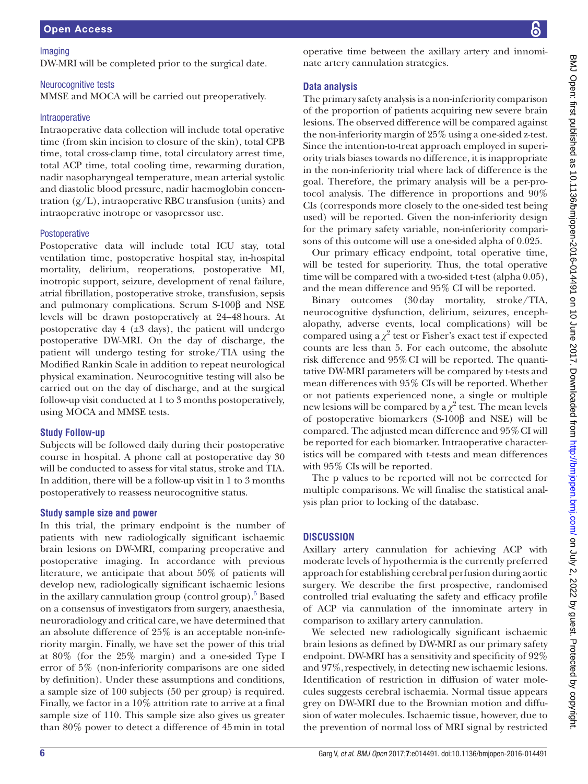DW-MRI will be completed prior to the surgical date.

# Neurocognitive tests

MMSE and MOCA will be carried out preoperatively.

#### Intraoperative

Intraoperative data collection will include total operative time (from skin incision to closure of the skin), total CPB time, total cross-clamp time, total circulatory arrest time, total ACP time, total cooling time, rewarming duration, nadir nasopharyngeal temperature, mean arterial systolic and diastolic blood pressure, nadir haemoglobin concentration (g/L), intraoperative RBC transfusion (units) and intraoperative inotrope or vasopressor use.

# Postoperative

Postoperative data will include total ICU stay, total ventilation time, postoperative hospital stay, in-hospital mortality, delirium, reoperations, postoperative MI, inotropic support, seizure, development of renal failure, atrial fibrillation, postoperative stroke, transfusion, sepsis and pulmonary complications. Serum S-100β and NSE levels will be drawn postoperatively at 24–48hours. At postoperative day  $4$  ( $\pm 3$  days), the patient will undergo postoperative DW-MRI. On the day of discharge, the patient will undergo testing for stroke/TIA using the Modified Rankin Scale in addition to repeat neurological physical examination. Neurocognitive testing will also be carried out on the day of discharge, and at the surgical follow-up visit conducted at 1 to 3 months postoperatively, using MOCA and MMSE tests.

# **Study Follow-up**

Subjects will be followed daily during their postoperative course in hospital. A phone call at postoperative day 30 will be conducted to assess for vital status, stroke and TIA. In addition, there will be a follow-up visit in 1 to 3 months postoperatively to reassess neurocognitive status.

# **Study sample size and power**

In this trial, the primary endpoint is the number of patients with new radiologically significant ischaemic brain lesions on DW-MRI, comparing preoperative and postoperative imaging. In accordance with previous literature, we anticipate that about 50% of patients will develop new, radiologically significant ischaemic lesions in the axillary cannulation group (control group).<sup>[5](#page-8-8)</sup> Based on a consensus of investigators from surgery, anaesthesia, neuroradiology and critical care, we have determined that an absolute difference of 25% is an acceptable non-inferiority margin. Finally, we have set the power of this trial at 80% (for the 25% margin) and a one-sided Type I error of 5% (non-inferiority comparisons are one sided by definition). Under these assumptions and conditions, a sample size of 100 subjects (50 per group) is required. Finally, we factor in a 10% attrition rate to arrive at a final sample size of 110. This sample size also gives us greater than 80% power to detect a difference of 45min in total

operative time between the axillary artery and innominate artery cannulation strategies.

# **Data analysis**

The primary safety analysis is a non-inferiority comparison of the proportion of patients acquiring new severe brain lesions. The observed difference will be compared against the non-inferiority margin of 25% using a one-sided z-test. Since the intention-to-treat approach employed in superiority trials biases towards no difference, it is inappropriate in the non-inferiority trial where lack of difference is the goal. Therefore, the primary analysis will be a per-protocol analysis. The difference in proportions and 90% CIs (corresponds more closely to the one-sided test being used) will be reported. Given the non-inferiority design for the primary safety variable, non-inferiority comparisons of this outcome will use a one-sided alpha of 0.025.

Our primary efficacy endpoint, total operative time, will be tested for superiority. Thus, the total operative time will be compared with a two-sided t-test (alpha 0.05), and the mean difference and 95% CI will be reported.

Binary outcomes (30day mortality, stroke/TIA, neurocognitive dysfunction, delirium, seizures, encephalopathy, adverse events, local complications) will be compared using a  $\chi^2$  test or Fisher's exact test if expected counts are less than 5. For each outcome, the absolute risk difference and 95%CI will be reported. The quantitative DW-MRI parameters will be compared by t-tests and mean differences with 95% CIs will be reported. Whether or not patients experienced none, a single or multiple new lesions will be compared by a  $\chi^2$  test. The mean levels of postoperative biomarkers (S-100β and NSE) will be compared. The adjusted mean difference and 95%CI will be reported for each biomarker. Intraoperative characteristics will be compared with t-tests and mean differences with 95% CIs will be reported.

The p values to be reported will not be corrected for multiple comparisons. We will finalise the statistical analysis plan prior to locking of the database.

# **DISCUSSION**

Axillary artery cannulation for achieving ACP with moderate levels of hypothermia is the currently preferred approach for establishing cerebral perfusion during aortic surgery. We describe the first prospective, randomised controlled trial evaluating the safety and efficacy profile of ACP via cannulation of the innominate artery in comparison to axillary artery cannulation.

We selected new radiologically significant ischaemic brain lesions as defined by DW-MRI as our primary safety endpoint. DW-MRI has a sensitivity and specificity of 92% and 97%, respectively, in detecting new ischaemic lesions. Identification of restriction in diffusion of water molecules suggests cerebral ischaemia. Normal tissue appears grey on DW-MRI due to the Brownian motion and diffusion of water molecules. Ischaemic tissue, however, due to the prevention of normal loss of MRI signal by restricted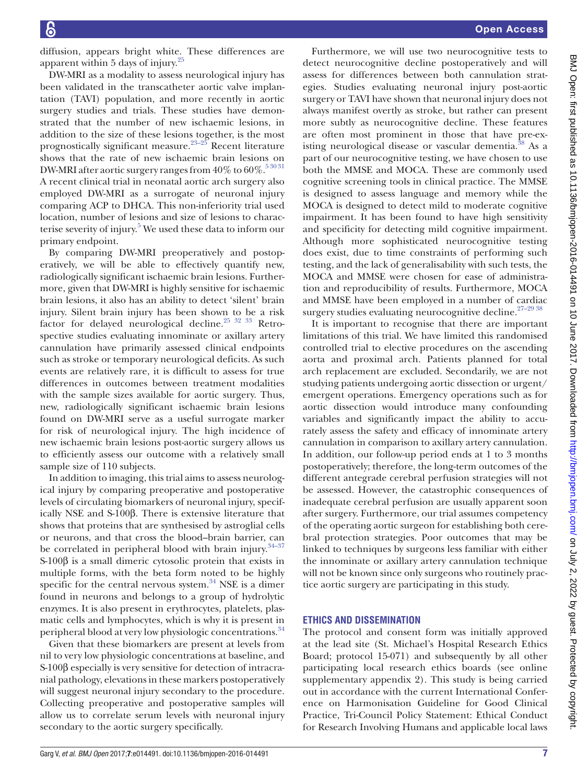diffusion, appears bright white. These differences are apparent within 5 days of injury.<sup>25</sup>

DW-MRI as a modality to assess neurological injury has been validated in the transcatheter aortic valve implantation (TAVI) population, and more recently in aortic surgery studies and trials. These studies have demonstrated that the number of new ischaemic lesions, in addition to the size of these lesions together, is the most prognostically significant measure.<sup>23–25</sup> Recent literature shows that the rate of new ischaemic brain lesions on DW-MRI after aortic surgery ranges from  $40\%$  to  $60\%$ .<sup>53031</sup> A recent clinical trial in neonatal aortic arch surgery also employed DW-MRI as a surrogate of neuronal injury comparing ACP to DHCA. This non-inferiority trial used location, number of lesions and size of lesions to charac-terise severity of injury.<sup>[5](#page-8-8)</sup> We used these data to inform our primary endpoint.

By comparing DW-MRI preoperatively and postoperatively, we will be able to effectively quantify new, radiologically significant ischaemic brain lesions. Furthermore, given that DW-MRI is highly sensitive for ischaemic brain lesions, it also has an ability to detect 'silent' brain injury. Silent brain injury has been shown to be a risk factor for delayed neurological decline.<sup>25 32 33</sup> Retrospective studies evaluating innominate or axillary artery cannulation have primarily assessed clinical endpoints such as stroke or temporary neurological deficits. As such events are relatively rare, it is difficult to assess for true differences in outcomes between treatment modalities with the sample sizes available for aortic surgery. Thus, new, radiologically significant ischaemic brain lesions found on DW-MRI serve as a useful surrogate marker for risk of neurological injury. The high incidence of new ischaemic brain lesions post-aortic surgery allows us to efficiently assess our outcome with a relatively small sample size of 110 subjects.

In addition to imaging, this trial aims to assess neurological injury by comparing preoperative and postoperative levels of circulating biomarkers of neuronal injury, specifically NSE and S-100β. There is extensive literature that shows that proteins that are synthesised by astroglial cells or neurons, and that cross the blood–brain barrier, can be correlated in peripheral blood with brain injury. $34-37$ S-100β is a small dimeric cytosolic protein that exists in multiple forms, with the beta form noted to be highly specific for the central nervous system. $34$  NSE is a dimer found in neurons and belongs to a group of hydrolytic enzymes. It is also present in erythrocytes, platelets, plasmatic cells and lymphocytes, which is why it is present in peripheral blood at very low physiologic concentrations[.34](#page-8-12)

Given that these biomarkers are present at levels from nil to very low physiologic concentrations at baseline, and S-100β especially is very sensitive for detection of intracranial pathology, elevations in these markers postoperatively will suggest neuronal injury secondary to the procedure. Collecting preoperative and postoperative samples will allow us to correlate serum levels with neuronal injury secondary to the aortic surgery specifically.

Furthermore, we will use two neurocognitive tests to detect neurocognitive decline postoperatively and will assess for differences between both cannulation strategies. Studies evaluating neuronal injury post-aortic surgery or TAVI have shown that neuronal injury does not always manifest overtly as stroke, but rather can present more subtly as neurocognitive decline. These features are often most prominent in those that have pre-existing neurological disease or vascular dementia.<sup>38</sup> As a part of our neurocognitive testing, we have chosen to use both the MMSE and MOCA. These are commonly used cognitive screening tools in clinical practice. The MMSE is designed to assess language and memory while the MOCA is designed to detect mild to moderate cognitive impairment. It has been found to have high sensitivity and specificity for detecting mild cognitive impairment. Although more sophisticated neurocognitive testing does exist, due to time constraints of performing such testing, and the lack of generalisability with such tests, the MOCA and MMSE were chosen for ease of administration and reproducibility of results. Furthermore, MOCA and MMSE have been employed in a number of cardiac surgery studies evaluating neurocognitive decline.<sup>27-29 38</sup>

It is important to recognise that there are important limitations of this trial. We have limited this randomised controlled trial to elective procedures on the ascending aorta and proximal arch. Patients planned for total arch replacement are excluded. Secondarily, we are not studying patients undergoing aortic dissection or urgent/ emergent operations. Emergency operations such as for aortic dissection would introduce many confounding variables and significantly impact the ability to accurately assess the safety and efficacy of innominate artery cannulation in comparison to axillary artery cannulation. In addition, our follow-up period ends at 1 to 3 months postoperatively; therefore, the long-term outcomes of the different antegrade cerebral perfusion strategies will not be assessed. However, the catastrophic consequences of inadequate cerebral perfusion are usually apparent soon after surgery. Furthermore, our trial assumes competency of the operating aortic surgeon for establishing both cerebral protection strategies. Poor outcomes that may be linked to techniques by surgeons less familiar with either the innominate or axillary artery cannulation technique will not be known since only surgeons who routinely practice aortic surgery are participating in this study.

#### **ETHICS AND DISSEMINATION**

The protocol and consent form was initially approved at the lead site (St. Michael's Hospital Research Ethics Board; protocol 15-071) and subsequently by all other participating local research ethics boards (see online supplementary appendix 2). This study is being carried out in accordance with the current International Conference on Harmonisation Guideline for Good Clinical Practice, Tri-Council Policy Statement: Ethical Conduct for Research Involving Humans and applicable local laws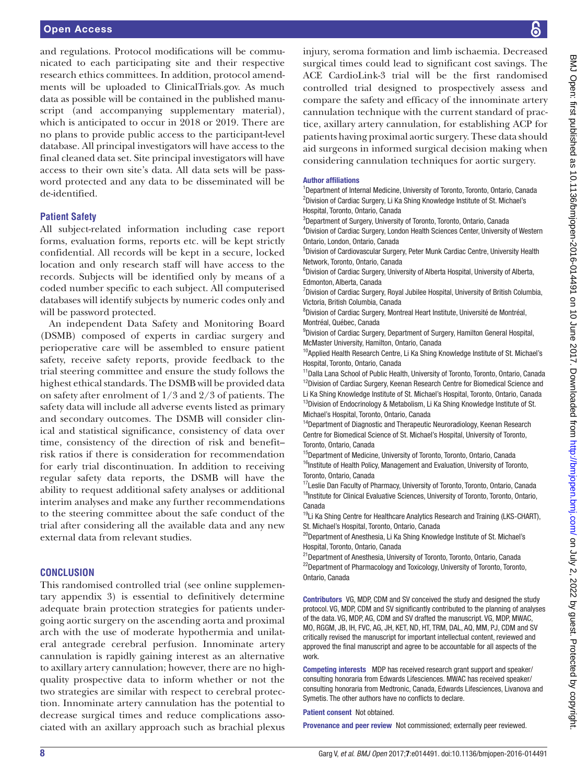and regulations. Protocol modifications will be communicated to each participating site and their respective research ethics committees. In addition, protocol amendments will be uploaded to ClinicalTrials.gov. As much data as possible will be contained in the published manuscript (and accompanying supplementary material), which is anticipated to occur in 2018 or 2019. There are no plans to provide public access to the participant-level database. All principal investigators will have access to the final cleaned data set. Site principal investigators will have access to their own site's data. All data sets will be password protected and any data to be disseminated will be de-identified.

#### **Patient Safety**

All subject-related information including case report forms, evaluation forms, reports etc. will be kept strictly confidential. All records will be kept in a secure, locked location and only research staff will have access to the records. Subjects will be identified only by means of a coded number specific to each subject. All computerised databases will identify subjects by numeric codes only and will be password protected.

An independent Data Safety and Monitoring Board (DSMB) composed of experts in cardiac surgery and perioperative care will be assembled to ensure patient safety, receive safety reports, provide feedback to the trial steering committee and ensure the study follows the highest ethical standards. The DSMB will be provided data on safety after enrolment of 1/3 and 2/3 of patients. The safety data will include all adverse events listed as primary and secondary outcomes. The DSMB will consider clinical and statistical significance, consistency of data over time, consistency of the direction of risk and benefit– risk ratios if there is consideration for recommendation for early trial discontinuation. In addition to receiving regular safety data reports, the DSMB will have the ability to request additional safety analyses or additional interim analyses and make any further recommendations to the steering committee about the safe conduct of the trial after considering all the available data and any new external data from relevant studies.

# **CONCLUSION**

This randomised controlled trial (see online supplementary appendix 3) is essential to definitively determine adequate brain protection strategies for patients undergoing aortic surgery on the ascending aorta and proximal arch with the use of moderate hypothermia and unilateral antegrade cerebral perfusion. Innominate artery cannulation is rapidly gaining interest as an alternative to axillary artery cannulation; however, there are no highquality prospective data to inform whether or not the two strategies are similar with respect to cerebral protection. Innominate artery cannulation has the potential to decrease surgical times and reduce complications associated with an axillary approach such as brachial plexus

injury, seroma formation and limb ischaemia. Decreased surgical times could lead to significant cost savings. The ACE CardioLink-3 trial will be the first randomised controlled trial designed to prospectively assess and compare the safety and efficacy of the innominate artery cannulation technique with the current standard of practice, axillary artery cannulation, for establishing ACP for patients having proximal aortic surgery. These data should aid surgeons in informed surgical decision making when considering cannulation techniques for aortic surgery.

#### Author affiliations

<sup>1</sup>Department of Internal Medicine, University of Toronto, Toronto, Ontario, Canada <sup>2</sup>Division of Cardiac Surgery, Li Ka Shing Knowledge Institute of St. Michael's Hospital, Toronto, Ontario, Canada

<sup>3</sup>Department of Surgery, University of Toronto, Toronto, Ontario, Canada

4 Division of Cardiac Surgery, London Health Sciences Center, University of Western Ontario, London, Ontario, Canada

5 Division of Cardiovascular Surgery, Peter Munk Cardiac Centre, University Health Network, Toronto, Ontario, Canada

<sup>6</sup>Division of Cardiac Surgery, University of Alberta Hospital, University of Alberta, Edmonton, Alberta, Canada

<sup>7</sup>Division of Cardiac Surgery, Royal Jubilee Hospital, University of British Columbia, Victoria, British Columbia, Canada

<sup>8</sup>Division of Cardiac Surgery, Montreal Heart Institute, Université de Montréal, Montréal, Québec, Canada

<sup>9</sup>Division of Cardiac Surgery, Department of Surgery, Hamilton General Hospital, McMaster University, Hamilton, Ontario, Canada

<sup>10</sup>Applied Health Research Centre, Li Ka Shing Knowledge Institute of St. Michael's Hospital, Toronto, Ontario, Canada

<sup>11</sup> Dalla Lana School of Public Health, University of Toronto, Toronto, Ontario, Canada <sup>12</sup>Division of Cardiac Surgery, Keenan Research Centre for Biomedical Science and Li Ka Shing Knowledge Institute of St. Michael's Hospital, Toronto, Ontario, Canada 13Division of Endocrinology & Metabolism, Li Ka Shing Knowledge Institute of St.

Michael's Hospital, Toronto, Ontario, Canada

<sup>14</sup>Department of Diagnostic and Therapeutic Neuroradiology, Keenan Research Centre for Biomedical Science of St. Michael's Hospital, University of Toronto, Toronto, Ontario, Canada

<sup>15</sup>Department of Medicine, University of Toronto, Toronto, Ontario, Canada <sup>16</sup>Institute of Health Policy, Management and Evaluation, University of Toronto, Toronto, Ontario, Canada

<sup>17</sup>Leslie Dan Faculty of Pharmacy, University of Toronto, Toronto, Ontario, Canada <sup>18</sup>Institute for Clinical Evaluative Sciences, University of Toronto, Toronto, Ontario, Canada

<sup>19</sup>Li Ka Shing Centre for Healthcare Analytics Research and Training (LKS-CHART), St. Michael's Hospital, Toronto, Ontario, Canada

<sup>20</sup>Department of Anesthesia, Li Ka Shing Knowledge Institute of St. Michael's Hospital, Toronto, Ontario, Canada

<sup>21</sup> Department of Anesthesia, University of Toronto, Toronto, Ontario, Canada <sup>22</sup>Department of Pharmacology and Toxicology, University of Toronto, Toronto, Ontario, Canada

Contributors VG, MDP, CDM and SV conceived the study and designed the study protocol. VG, MDP, CDM and SV significantly contributed to the planning of analyses of the data. VG, MDP, AG, CDM and SV drafted the manuscript. VG, MDP, MWAC, MO, RGGM, JB, IH, FVC, AG, JH, KET, ND, HT, TRM, DAL, AQ, MM, PJ, CDM and SV critically revised the manuscript for important intellectual content, reviewed and approved the final manuscript and agree to be accountable for all aspects of the work.

Competing interests MDP has received research grant support and speaker/ consulting honoraria from Edwards Lifesciences. MWAC has received speaker/ consulting honoraria from Medtronic, Canada, Edwards Lifesciences, Livanova and Symetis. The other authors have no conflicts to declare.

Patient consent Not obtained.

Provenance and peer review Not commissioned; externally peer reviewed.